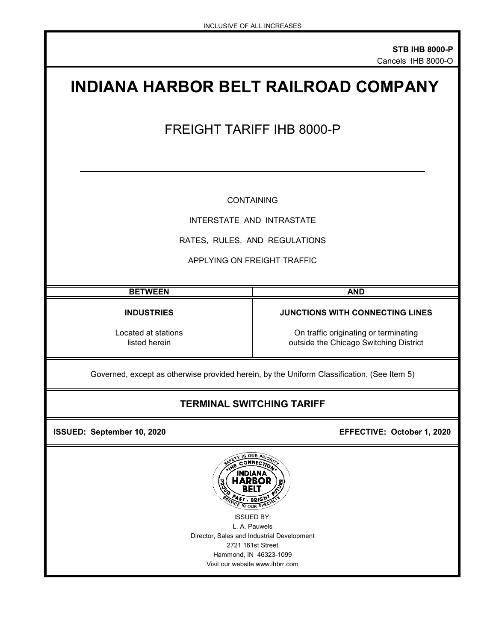# **INDIANA HARBOR BELT RAILROAD COMPANY** FREIGHT TARIFF IHB 8000-P CONTAINING INTERSTATE AND INTRASTATE RATES, RULES, AND REGULATIONS APPLYING ON FREIGHT TRAFFIC **BETWEEN AND INDUSTRIES JUNCTIONS WITH CONNECTING LINES** Located at stations **Located at stations** On traffic originating or terminating listed herein **and the Chicago** Switching District outside the Chicago Switching District Governed, except as otherwise provided herein, by the Uniform Classification. (See Item 5)

## **TERMINAL SWITCHING TARIFF**

 **ISSUED: September 10, 2020 EFFECTIVE: October 1, 2020** 



Visit our website www.ihbrr.com Hammond, IN 46323-1099 ISSUED BY: L. A. Pauwels Director, Sales and Industrial Development 2721 161st Street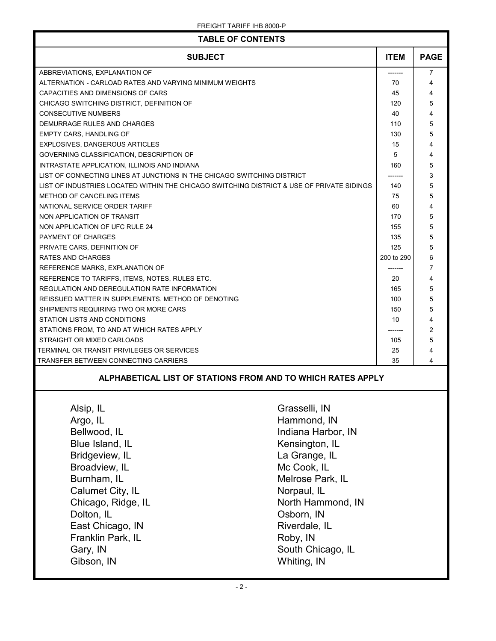| <b>SUBJECT</b><br><b>ITEM</b><br><b>PAGE</b><br>ABBREVIATIONS, EXPLANATION OF<br>7<br>ALTERNATION - CARLOAD RATES AND VARYING MINIMUM WEIGHTS<br>70<br>4<br>CAPACITIES AND DIMENSIONS OF CARS<br>45<br>4<br>CHICAGO SWITCHING DISTRICT, DEFINITION OF<br>5<br>120<br>CONSECUTIVE NUMBERS<br>40<br>4<br>DEMURRAGE RULES AND CHARGES<br>5<br>110<br>EMPTY CARS, HANDLING OF<br>5<br>130<br>EXPLOSIVES, DANGEROUS ARTICLES<br>15<br>4<br>5<br>4<br>GOVERNING CLASSIFICATION, DESCRIPTION OF<br>INTRASTATE APPLICATION, ILLINOIS AND INDIANA<br>160<br>5<br>3<br>LIST OF CONNECTING LINES AT JUNCTIONS IN THE CHICAGO SWITCHING DISTRICT<br>5<br>LIST OF INDUSTRIES LOCATED WITHIN THE CHICAGO SWITCHING DISTRICT & USE OF PRIVATE SIDINGS<br>140<br>5<br><b>METHOD OF CANCELING ITEMS</b><br>75<br>NATIONAL SERVICE ORDER TARIFF<br>60<br>4<br>NON APPLICATION OF TRANSIT<br>5<br>170<br>NON APPLICATION OF UFC RULE 24<br>155<br>5<br>5<br>PAYMENT OF CHARGES<br>135<br>5<br>PRIVATE CARS, DEFINITION OF<br>125<br>RATES AND CHARGES<br>200 to 290<br>6<br>REFERENCE MARKS, EXPLANATION OF<br>7<br>--------<br>REFERENCE TO TARIFFS, ITEMS, NOTES, RULES ETC.<br>20<br>4<br>REGULATION AND DEREGULATION RATE INFORMATION<br>5<br>165<br>5<br>REISSUED MATTER IN SUPPLEMENTS, METHOD OF DENOTING<br>100<br>SHIPMENTS REQUIRING TWO OR MORE CARS<br>150<br>5<br>STATION LISTS AND CONDITIONS<br>10<br>4<br>$\overline{c}$<br>STATIONS FROM, TO AND AT WHICH RATES APPLY<br>5<br>STRAIGHT OR MIXED CARLOADS<br>105<br>TERMINAL OR TRANSIT PRIVILEGES OR SERVICES<br>25<br>4<br>TRANSFER BETWEEN CONNECTING CARRIERS<br>35<br>4<br>ALPHABETICAL LIST OF STATIONS FROM AND TO WHICH RATES APPLY<br>Alsip, IL<br>Grasselli, IN<br>Argo, IL<br>Hammond, IN<br>Bellwood, IL<br>Indiana Harbor, IN<br>Blue Island, IL<br>Kensington, IL<br>Bridgeview, IL<br>La Grange, IL<br>Broadview, IL<br>Mc Cook, IL<br>Burnham, IL<br>Melrose Park, IL<br>Calumet City, IL<br>Norpaul, IL<br>Chicago, Ridge, IL<br>North Hammond, IN<br>Dolton, IL<br>Osborn, IN<br>East Chicago, IN<br>Riverdale, IL<br>Franklin Park, IL<br>Roby, IN | <b>TABLE OF CONTENTS</b>      |  |  |  |
|--------------------------------------------------------------------------------------------------------------------------------------------------------------------------------------------------------------------------------------------------------------------------------------------------------------------------------------------------------------------------------------------------------------------------------------------------------------------------------------------------------------------------------------------------------------------------------------------------------------------------------------------------------------------------------------------------------------------------------------------------------------------------------------------------------------------------------------------------------------------------------------------------------------------------------------------------------------------------------------------------------------------------------------------------------------------------------------------------------------------------------------------------------------------------------------------------------------------------------------------------------------------------------------------------------------------------------------------------------------------------------------------------------------------------------------------------------------------------------------------------------------------------------------------------------------------------------------------------------------------------------------------------------------------------------------------------------------------------------------------------------------------------------------------------------------------------------------------------------------------------------------------------------------------------------------------------------------------------------------------------------------------------------------------------------------------------------------------------------------------|-------------------------------|--|--|--|
|                                                                                                                                                                                                                                                                                                                                                                                                                                                                                                                                                                                                                                                                                                                                                                                                                                                                                                                                                                                                                                                                                                                                                                                                                                                                                                                                                                                                                                                                                                                                                                                                                                                                                                                                                                                                                                                                                                                                                                                                                                                                                                                    |                               |  |  |  |
|                                                                                                                                                                                                                                                                                                                                                                                                                                                                                                                                                                                                                                                                                                                                                                                                                                                                                                                                                                                                                                                                                                                                                                                                                                                                                                                                                                                                                                                                                                                                                                                                                                                                                                                                                                                                                                                                                                                                                                                                                                                                                                                    |                               |  |  |  |
|                                                                                                                                                                                                                                                                                                                                                                                                                                                                                                                                                                                                                                                                                                                                                                                                                                                                                                                                                                                                                                                                                                                                                                                                                                                                                                                                                                                                                                                                                                                                                                                                                                                                                                                                                                                                                                                                                                                                                                                                                                                                                                                    |                               |  |  |  |
|                                                                                                                                                                                                                                                                                                                                                                                                                                                                                                                                                                                                                                                                                                                                                                                                                                                                                                                                                                                                                                                                                                                                                                                                                                                                                                                                                                                                                                                                                                                                                                                                                                                                                                                                                                                                                                                                                                                                                                                                                                                                                                                    |                               |  |  |  |
|                                                                                                                                                                                                                                                                                                                                                                                                                                                                                                                                                                                                                                                                                                                                                                                                                                                                                                                                                                                                                                                                                                                                                                                                                                                                                                                                                                                                                                                                                                                                                                                                                                                                                                                                                                                                                                                                                                                                                                                                                                                                                                                    |                               |  |  |  |
|                                                                                                                                                                                                                                                                                                                                                                                                                                                                                                                                                                                                                                                                                                                                                                                                                                                                                                                                                                                                                                                                                                                                                                                                                                                                                                                                                                                                                                                                                                                                                                                                                                                                                                                                                                                                                                                                                                                                                                                                                                                                                                                    |                               |  |  |  |
|                                                                                                                                                                                                                                                                                                                                                                                                                                                                                                                                                                                                                                                                                                                                                                                                                                                                                                                                                                                                                                                                                                                                                                                                                                                                                                                                                                                                                                                                                                                                                                                                                                                                                                                                                                                                                                                                                                                                                                                                                                                                                                                    |                               |  |  |  |
|                                                                                                                                                                                                                                                                                                                                                                                                                                                                                                                                                                                                                                                                                                                                                                                                                                                                                                                                                                                                                                                                                                                                                                                                                                                                                                                                                                                                                                                                                                                                                                                                                                                                                                                                                                                                                                                                                                                                                                                                                                                                                                                    |                               |  |  |  |
|                                                                                                                                                                                                                                                                                                                                                                                                                                                                                                                                                                                                                                                                                                                                                                                                                                                                                                                                                                                                                                                                                                                                                                                                                                                                                                                                                                                                                                                                                                                                                                                                                                                                                                                                                                                                                                                                                                                                                                                                                                                                                                                    |                               |  |  |  |
|                                                                                                                                                                                                                                                                                                                                                                                                                                                                                                                                                                                                                                                                                                                                                                                                                                                                                                                                                                                                                                                                                                                                                                                                                                                                                                                                                                                                                                                                                                                                                                                                                                                                                                                                                                                                                                                                                                                                                                                                                                                                                                                    |                               |  |  |  |
|                                                                                                                                                                                                                                                                                                                                                                                                                                                                                                                                                                                                                                                                                                                                                                                                                                                                                                                                                                                                                                                                                                                                                                                                                                                                                                                                                                                                                                                                                                                                                                                                                                                                                                                                                                                                                                                                                                                                                                                                                                                                                                                    |                               |  |  |  |
|                                                                                                                                                                                                                                                                                                                                                                                                                                                                                                                                                                                                                                                                                                                                                                                                                                                                                                                                                                                                                                                                                                                                                                                                                                                                                                                                                                                                                                                                                                                                                                                                                                                                                                                                                                                                                                                                                                                                                                                                                                                                                                                    |                               |  |  |  |
|                                                                                                                                                                                                                                                                                                                                                                                                                                                                                                                                                                                                                                                                                                                                                                                                                                                                                                                                                                                                                                                                                                                                                                                                                                                                                                                                                                                                                                                                                                                                                                                                                                                                                                                                                                                                                                                                                                                                                                                                                                                                                                                    |                               |  |  |  |
|                                                                                                                                                                                                                                                                                                                                                                                                                                                                                                                                                                                                                                                                                                                                                                                                                                                                                                                                                                                                                                                                                                                                                                                                                                                                                                                                                                                                                                                                                                                                                                                                                                                                                                                                                                                                                                                                                                                                                                                                                                                                                                                    |                               |  |  |  |
|                                                                                                                                                                                                                                                                                                                                                                                                                                                                                                                                                                                                                                                                                                                                                                                                                                                                                                                                                                                                                                                                                                                                                                                                                                                                                                                                                                                                                                                                                                                                                                                                                                                                                                                                                                                                                                                                                                                                                                                                                                                                                                                    |                               |  |  |  |
|                                                                                                                                                                                                                                                                                                                                                                                                                                                                                                                                                                                                                                                                                                                                                                                                                                                                                                                                                                                                                                                                                                                                                                                                                                                                                                                                                                                                                                                                                                                                                                                                                                                                                                                                                                                                                                                                                                                                                                                                                                                                                                                    |                               |  |  |  |
|                                                                                                                                                                                                                                                                                                                                                                                                                                                                                                                                                                                                                                                                                                                                                                                                                                                                                                                                                                                                                                                                                                                                                                                                                                                                                                                                                                                                                                                                                                                                                                                                                                                                                                                                                                                                                                                                                                                                                                                                                                                                                                                    |                               |  |  |  |
|                                                                                                                                                                                                                                                                                                                                                                                                                                                                                                                                                                                                                                                                                                                                                                                                                                                                                                                                                                                                                                                                                                                                                                                                                                                                                                                                                                                                                                                                                                                                                                                                                                                                                                                                                                                                                                                                                                                                                                                                                                                                                                                    |                               |  |  |  |
|                                                                                                                                                                                                                                                                                                                                                                                                                                                                                                                                                                                                                                                                                                                                                                                                                                                                                                                                                                                                                                                                                                                                                                                                                                                                                                                                                                                                                                                                                                                                                                                                                                                                                                                                                                                                                                                                                                                                                                                                                                                                                                                    |                               |  |  |  |
|                                                                                                                                                                                                                                                                                                                                                                                                                                                                                                                                                                                                                                                                                                                                                                                                                                                                                                                                                                                                                                                                                                                                                                                                                                                                                                                                                                                                                                                                                                                                                                                                                                                                                                                                                                                                                                                                                                                                                                                                                                                                                                                    |                               |  |  |  |
|                                                                                                                                                                                                                                                                                                                                                                                                                                                                                                                                                                                                                                                                                                                                                                                                                                                                                                                                                                                                                                                                                                                                                                                                                                                                                                                                                                                                                                                                                                                                                                                                                                                                                                                                                                                                                                                                                                                                                                                                                                                                                                                    |                               |  |  |  |
|                                                                                                                                                                                                                                                                                                                                                                                                                                                                                                                                                                                                                                                                                                                                                                                                                                                                                                                                                                                                                                                                                                                                                                                                                                                                                                                                                                                                                                                                                                                                                                                                                                                                                                                                                                                                                                                                                                                                                                                                                                                                                                                    |                               |  |  |  |
|                                                                                                                                                                                                                                                                                                                                                                                                                                                                                                                                                                                                                                                                                                                                                                                                                                                                                                                                                                                                                                                                                                                                                                                                                                                                                                                                                                                                                                                                                                                                                                                                                                                                                                                                                                                                                                                                                                                                                                                                                                                                                                                    |                               |  |  |  |
|                                                                                                                                                                                                                                                                                                                                                                                                                                                                                                                                                                                                                                                                                                                                                                                                                                                                                                                                                                                                                                                                                                                                                                                                                                                                                                                                                                                                                                                                                                                                                                                                                                                                                                                                                                                                                                                                                                                                                                                                                                                                                                                    |                               |  |  |  |
|                                                                                                                                                                                                                                                                                                                                                                                                                                                                                                                                                                                                                                                                                                                                                                                                                                                                                                                                                                                                                                                                                                                                                                                                                                                                                                                                                                                                                                                                                                                                                                                                                                                                                                                                                                                                                                                                                                                                                                                                                                                                                                                    |                               |  |  |  |
|                                                                                                                                                                                                                                                                                                                                                                                                                                                                                                                                                                                                                                                                                                                                                                                                                                                                                                                                                                                                                                                                                                                                                                                                                                                                                                                                                                                                                                                                                                                                                                                                                                                                                                                                                                                                                                                                                                                                                                                                                                                                                                                    |                               |  |  |  |
|                                                                                                                                                                                                                                                                                                                                                                                                                                                                                                                                                                                                                                                                                                                                                                                                                                                                                                                                                                                                                                                                                                                                                                                                                                                                                                                                                                                                                                                                                                                                                                                                                                                                                                                                                                                                                                                                                                                                                                                                                                                                                                                    |                               |  |  |  |
|                                                                                                                                                                                                                                                                                                                                                                                                                                                                                                                                                                                                                                                                                                                                                                                                                                                                                                                                                                                                                                                                                                                                                                                                                                                                                                                                                                                                                                                                                                                                                                                                                                                                                                                                                                                                                                                                                                                                                                                                                                                                                                                    |                               |  |  |  |
|                                                                                                                                                                                                                                                                                                                                                                                                                                                                                                                                                                                                                                                                                                                                                                                                                                                                                                                                                                                                                                                                                                                                                                                                                                                                                                                                                                                                                                                                                                                                                                                                                                                                                                                                                                                                                                                                                                                                                                                                                                                                                                                    |                               |  |  |  |
|                                                                                                                                                                                                                                                                                                                                                                                                                                                                                                                                                                                                                                                                                                                                                                                                                                                                                                                                                                                                                                                                                                                                                                                                                                                                                                                                                                                                                                                                                                                                                                                                                                                                                                                                                                                                                                                                                                                                                                                                                                                                                                                    |                               |  |  |  |
|                                                                                                                                                                                                                                                                                                                                                                                                                                                                                                                                                                                                                                                                                                                                                                                                                                                                                                                                                                                                                                                                                                                                                                                                                                                                                                                                                                                                                                                                                                                                                                                                                                                                                                                                                                                                                                                                                                                                                                                                                                                                                                                    |                               |  |  |  |
|                                                                                                                                                                                                                                                                                                                                                                                                                                                                                                                                                                                                                                                                                                                                                                                                                                                                                                                                                                                                                                                                                                                                                                                                                                                                                                                                                                                                                                                                                                                                                                                                                                                                                                                                                                                                                                                                                                                                                                                                                                                                                                                    |                               |  |  |  |
|                                                                                                                                                                                                                                                                                                                                                                                                                                                                                                                                                                                                                                                                                                                                                                                                                                                                                                                                                                                                                                                                                                                                                                                                                                                                                                                                                                                                                                                                                                                                                                                                                                                                                                                                                                                                                                                                                                                                                                                                                                                                                                                    |                               |  |  |  |
|                                                                                                                                                                                                                                                                                                                                                                                                                                                                                                                                                                                                                                                                                                                                                                                                                                                                                                                                                                                                                                                                                                                                                                                                                                                                                                                                                                                                                                                                                                                                                                                                                                                                                                                                                                                                                                                                                                                                                                                                                                                                                                                    |                               |  |  |  |
|                                                                                                                                                                                                                                                                                                                                                                                                                                                                                                                                                                                                                                                                                                                                                                                                                                                                                                                                                                                                                                                                                                                                                                                                                                                                                                                                                                                                                                                                                                                                                                                                                                                                                                                                                                                                                                                                                                                                                                                                                                                                                                                    |                               |  |  |  |
|                                                                                                                                                                                                                                                                                                                                                                                                                                                                                                                                                                                                                                                                                                                                                                                                                                                                                                                                                                                                                                                                                                                                                                                                                                                                                                                                                                                                                                                                                                                                                                                                                                                                                                                                                                                                                                                                                                                                                                                                                                                                                                                    |                               |  |  |  |
|                                                                                                                                                                                                                                                                                                                                                                                                                                                                                                                                                                                                                                                                                                                                                                                                                                                                                                                                                                                                                                                                                                                                                                                                                                                                                                                                                                                                                                                                                                                                                                                                                                                                                                                                                                                                                                                                                                                                                                                                                                                                                                                    |                               |  |  |  |
|                                                                                                                                                                                                                                                                                                                                                                                                                                                                                                                                                                                                                                                                                                                                                                                                                                                                                                                                                                                                                                                                                                                                                                                                                                                                                                                                                                                                                                                                                                                                                                                                                                                                                                                                                                                                                                                                                                                                                                                                                                                                                                                    |                               |  |  |  |
|                                                                                                                                                                                                                                                                                                                                                                                                                                                                                                                                                                                                                                                                                                                                                                                                                                                                                                                                                                                                                                                                                                                                                                                                                                                                                                                                                                                                                                                                                                                                                                                                                                                                                                                                                                                                                                                                                                                                                                                                                                                                                                                    |                               |  |  |  |
|                                                                                                                                                                                                                                                                                                                                                                                                                                                                                                                                                                                                                                                                                                                                                                                                                                                                                                                                                                                                                                                                                                                                                                                                                                                                                                                                                                                                                                                                                                                                                                                                                                                                                                                                                                                                                                                                                                                                                                                                                                                                                                                    |                               |  |  |  |
|                                                                                                                                                                                                                                                                                                                                                                                                                                                                                                                                                                                                                                                                                                                                                                                                                                                                                                                                                                                                                                                                                                                                                                                                                                                                                                                                                                                                                                                                                                                                                                                                                                                                                                                                                                                                                                                                                                                                                                                                                                                                                                                    |                               |  |  |  |
|                                                                                                                                                                                                                                                                                                                                                                                                                                                                                                                                                                                                                                                                                                                                                                                                                                                                                                                                                                                                                                                                                                                                                                                                                                                                                                                                                                                                                                                                                                                                                                                                                                                                                                                                                                                                                                                                                                                                                                                                                                                                                                                    |                               |  |  |  |
|                                                                                                                                                                                                                                                                                                                                                                                                                                                                                                                                                                                                                                                                                                                                                                                                                                                                                                                                                                                                                                                                                                                                                                                                                                                                                                                                                                                                                                                                                                                                                                                                                                                                                                                                                                                                                                                                                                                                                                                                                                                                                                                    |                               |  |  |  |
|                                                                                                                                                                                                                                                                                                                                                                                                                                                                                                                                                                                                                                                                                                                                                                                                                                                                                                                                                                                                                                                                                                                                                                                                                                                                                                                                                                                                                                                                                                                                                                                                                                                                                                                                                                                                                                                                                                                                                                                                                                                                                                                    |                               |  |  |  |
|                                                                                                                                                                                                                                                                                                                                                                                                                                                                                                                                                                                                                                                                                                                                                                                                                                                                                                                                                                                                                                                                                                                                                                                                                                                                                                                                                                                                                                                                                                                                                                                                                                                                                                                                                                                                                                                                                                                                                                                                                                                                                                                    | Gary, IN<br>South Chicago, IL |  |  |  |
| Gibson, IN<br>Whiting, IN                                                                                                                                                                                                                                                                                                                                                                                                                                                                                                                                                                                                                                                                                                                                                                                                                                                                                                                                                                                                                                                                                                                                                                                                                                                                                                                                                                                                                                                                                                                                                                                                                                                                                                                                                                                                                                                                                                                                                                                                                                                                                          |                               |  |  |  |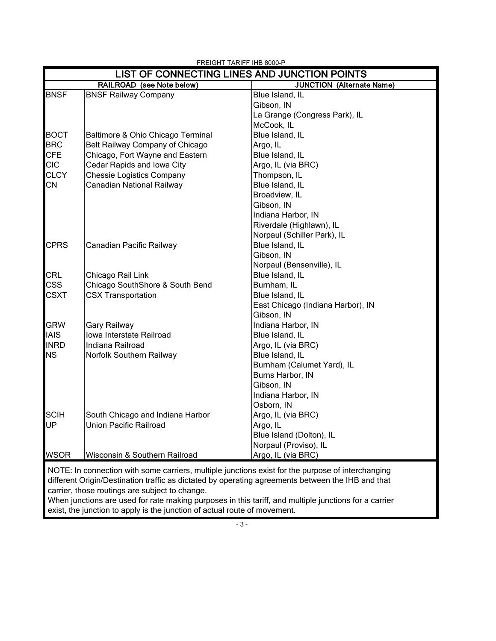| LIST OF CONNECTING LINES AND JUNCTION POINTS |                                   |                                                                                                   |  |
|----------------------------------------------|-----------------------------------|---------------------------------------------------------------------------------------------------|--|
|                                              | RAILROAD (see Note below)         | <b>JUNCTION (Alternate Name)</b>                                                                  |  |
| <b>BNSF</b>                                  | <b>BNSF Railway Company</b>       | Blue Island, IL                                                                                   |  |
|                                              |                                   | Gibson, IN                                                                                        |  |
|                                              |                                   | La Grange (Congress Park), IL                                                                     |  |
|                                              |                                   | McCook, IL                                                                                        |  |
| <b>BOCT</b>                                  | Baltimore & Ohio Chicago Terminal | Blue Island, IL                                                                                   |  |
| <b>BRC</b>                                   | Belt Railway Company of Chicago   | Argo, IL                                                                                          |  |
| <b>CFE</b>                                   | Chicago, Fort Wayne and Eastern   | Blue Island, IL                                                                                   |  |
| <b>CIC</b>                                   | Cedar Rapids and Iowa City        | Argo, IL (via BRC)                                                                                |  |
| <b>CLCY</b>                                  | <b>Chessie Logistics Company</b>  | Thompson, IL                                                                                      |  |
| <b>CN</b>                                    | Canadian National Railway         | Blue Island, IL                                                                                   |  |
|                                              |                                   | Broadview, IL                                                                                     |  |
|                                              |                                   | Gibson, IN                                                                                        |  |
|                                              |                                   | Indiana Harbor, IN                                                                                |  |
|                                              |                                   | Riverdale (Highlawn), IL                                                                          |  |
|                                              |                                   | Norpaul (Schiller Park), IL                                                                       |  |
| <b>CPRS</b>                                  | Canadian Pacific Railway          | Blue Island, IL                                                                                   |  |
|                                              |                                   | Gibson, IN                                                                                        |  |
|                                              |                                   | Norpaul (Bensenville), IL                                                                         |  |
| CRL                                          | Chicago Rail Link                 | Blue Island, IL                                                                                   |  |
| <b>CSS</b>                                   | Chicago SouthShore & South Bend   | Burnham, IL                                                                                       |  |
| <b>CSXT</b>                                  | <b>CSX Transportation</b>         | Blue Island, IL                                                                                   |  |
|                                              |                                   | East Chicago (Indiana Harbor), IN                                                                 |  |
|                                              |                                   | Gibson, IN                                                                                        |  |
| <b>GRW</b>                                   | Gary Railway                      | Indiana Harbor, IN                                                                                |  |
| <b>IAIS</b>                                  | Iowa Interstate Railroad          | Blue Island, IL                                                                                   |  |
| <b>INRD</b>                                  | Indiana Railroad                  | Argo, IL (via BRC)                                                                                |  |
| <b>NS</b>                                    | Norfolk Southern Railway          | Blue Island, IL                                                                                   |  |
|                                              |                                   | Burnham (Calumet Yard), IL                                                                        |  |
|                                              |                                   | Burns Harbor, IN                                                                                  |  |
|                                              |                                   | Gibson, IN                                                                                        |  |
|                                              |                                   | Indiana Harbor, IN                                                                                |  |
|                                              |                                   | Osborn, IN                                                                                        |  |
| <b>SCIH</b>                                  | South Chicago and Indiana Harbor  | Argo, IL (via BRC)                                                                                |  |
| UP                                           | <b>Union Pacific Railroad</b>     | Argo, IL                                                                                          |  |
|                                              |                                   | Blue Island (Dolton), IL                                                                          |  |
|                                              |                                   | Norpaul (Proviso), IL                                                                             |  |
| <b>WSOR</b>                                  | Wisconsin & Southern Railroad     | Argo, IL (via BRC)                                                                                |  |
|                                              |                                   | NOTE: In connection with some carriers, multiple junctions exist for the purpose of interchanging |  |

 different Origin/Destination traffic as dictated by operating agreements between the IHB and that carrier, those routings are subject to change.

When junctions are used for rate making purposes in this tariff, and multiple junctions for a carrier exist, the junction to apply is the junction of actual route of movement.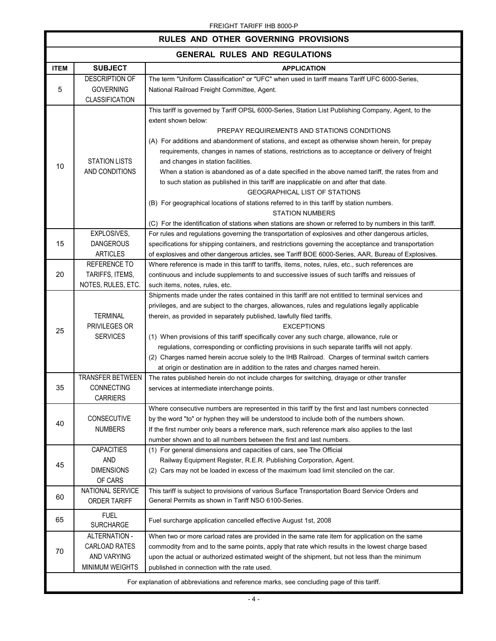| RULES AND OTHER GOVERNING PROVISIONS |                                                                                           |                                                                                                                                                                                                                                                                                                                                                                                                                                                                                                                                                                                                                                                                                         |  |
|--------------------------------------|-------------------------------------------------------------------------------------------|-----------------------------------------------------------------------------------------------------------------------------------------------------------------------------------------------------------------------------------------------------------------------------------------------------------------------------------------------------------------------------------------------------------------------------------------------------------------------------------------------------------------------------------------------------------------------------------------------------------------------------------------------------------------------------------------|--|
| <b>GENERAL RULES AND REGULATIONS</b> |                                                                                           |                                                                                                                                                                                                                                                                                                                                                                                                                                                                                                                                                                                                                                                                                         |  |
| <b>ITEM</b>                          | <b>SUBJECT</b>                                                                            | <b>APPLICATION</b>                                                                                                                                                                                                                                                                                                                                                                                                                                                                                                                                                                                                                                                                      |  |
| 5                                    | <b>DESCRIPTION OF</b><br><b>GOVERNING</b><br><b>CLASSIFICATION</b>                        | The term "Uniform Classification" or "UFC" when used in tariff means Tariff UFC 6000-Series,<br>National Railroad Freight Committee, Agent.                                                                                                                                                                                                                                                                                                                                                                                                                                                                                                                                             |  |
| 10                                   | <b>STATION LISTS</b><br>AND CONDITIONS                                                    | This tariff is governed by Tariff OPSL 6000-Series, Station List Publishing Company, Agent, to the<br>extent shown below:<br>PREPAY REQUIREMENTS AND STATIONS CONDITIONS                                                                                                                                                                                                                                                                                                                                                                                                                                                                                                                |  |
|                                      |                                                                                           | (A) For additions and abandonment of stations, and except as otherwise shown herein, for prepay<br>requirements, changes in names of stations, restrictions as to acceptance or delivery of freight<br>and changes in station facilities.<br>When a station is abandoned as of a date specified in the above named tariff, the rates from and                                                                                                                                                                                                                                                                                                                                           |  |
|                                      |                                                                                           | to such station as published in this tariff are inapplicable on and after that date.<br><b>GEOGRAPHICAL LIST OF STATIONS</b><br>(B) For geographical locations of stations referred to in this tariff by station numbers.<br><b>STATION NUMBERS</b><br>(C) For the identification of stations when stations are shown or referred to by numbers in this tariff.                                                                                                                                                                                                                                                                                                                         |  |
| 15                                   | EXPLOSIVES,<br><b>DANGEROUS</b><br><b>ARTICLES</b>                                        | For rules and regulations governing the transportation of explosives and other dangerous articles,<br>specifications for shipping containers, and restrictions governing the acceptance and transportation<br>of explosives and other dangerous articles, see Tariff BOE 6000-Series, AAR, Bureau of Explosives.                                                                                                                                                                                                                                                                                                                                                                        |  |
| 20                                   | <b>REFERENCE TO</b><br>TARIFFS, ITEMS,<br>NOTES, RULES, ETC.                              | Where reference is made in this tariff to tariffs, items, notes, rules, etc., such references are<br>continuous and include supplements to and successive issues of such tariffs and reissues of<br>such items, notes, rules, etc.                                                                                                                                                                                                                                                                                                                                                                                                                                                      |  |
| 25                                   | <b>TERMINAL</b><br>PRIVILEGES OR<br><b>SERVICES</b>                                       | Shipments made under the rates contained in this tariff are not entitled to terminal services and<br>privileges, and are subject to the charges, allowances, rules and regulations legally applicable<br>therein, as provided in separately published, lawfully filed tariffs.<br><b>EXCEPTIONS</b><br>(1) When provisions of this tariff specifically cover any such charge, allowance, rule or<br>regulations, corresponding or conflicting provisions in such separate tariffs will not apply.<br>(2) Charges named herein accrue solely to the IHB Railroad. Charges of terminal switch carriers<br>at origin or destination are in addition to the rates and charges named herein. |  |
| 35                                   | <b>TRANSFER BETWEEN</b><br>CONNECTING<br><b>CARRIERS</b>                                  | The rates published herein do not include charges for switching, drayage or other transfer<br>services at intermediate interchange points.                                                                                                                                                                                                                                                                                                                                                                                                                                                                                                                                              |  |
| 40                                   | CONSECUTIVE<br><b>NUMBERS</b>                                                             | Where consecutive numbers are represented in this tariff by the first and last numbers connected<br>by the word "to" or hyphen they will be understood to include both of the numbers shown.<br>If the first number only bears a reference mark, such reference mark also applies to the last<br>number shown and to all numbers between the first and last numbers.                                                                                                                                                                                                                                                                                                                    |  |
| 45                                   | <b>CAPACITIES</b><br><b>AND</b><br><b>DIMENSIONS</b><br>OF CARS                           | (1) For general dimensions and capacities of cars, see The Official<br>Railway Equipment Register, R.E.R. Publishing Corporation, Agent.<br>(2) Cars may not be loaded in excess of the maximum load limit stenciled on the car.                                                                                                                                                                                                                                                                                                                                                                                                                                                        |  |
| 60                                   | NATIONAL SERVICE<br><b>ORDER TARIFF</b>                                                   | This tariff is subject to provisions of various Surface Transportation Board Service Orders and<br>General Permits as shown in Tariff NSO 6100-Series.                                                                                                                                                                                                                                                                                                                                                                                                                                                                                                                                  |  |
| 65                                   | <b>FUEL</b><br><b>SURCHARGE</b>                                                           | Fuel surcharge application cancelled effective August 1st, 2008                                                                                                                                                                                                                                                                                                                                                                                                                                                                                                                                                                                                                         |  |
| 70                                   | ALTERNATION -<br>CARLOAD RATES<br>AND VARYING<br>MINIMUM WEIGHTS                          | When two or more carload rates are provided in the same rate item for application on the same<br>commodity from and to the same points, apply that rate which results in the lowest charge based<br>upon the actual or authorized estimated weight of the shipment, but not less than the minimum<br>published in connection with the rate used.                                                                                                                                                                                                                                                                                                                                        |  |
|                                      | For explanation of abbreviations and reference marks, see concluding page of this tariff. |                                                                                                                                                                                                                                                                                                                                                                                                                                                                                                                                                                                                                                                                                         |  |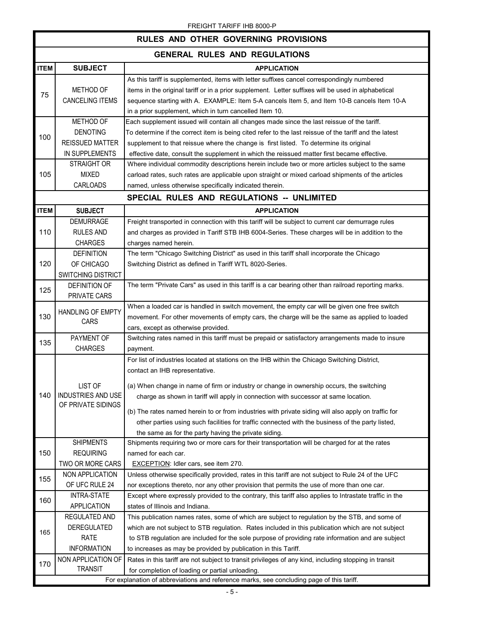|             | RULES AND OTHER GOVERNING PROVISIONS                                                      |                                                                                                        |  |  |
|-------------|-------------------------------------------------------------------------------------------|--------------------------------------------------------------------------------------------------------|--|--|
|             | <b>GENERAL RULES AND REGULATIONS</b>                                                      |                                                                                                        |  |  |
| <b>ITEM</b> | <b>SUBJECT</b>                                                                            | <b>APPLICATION</b>                                                                                     |  |  |
|             |                                                                                           | As this tariff is supplemented, items with letter suffixes cancel correspondingly numbered             |  |  |
|             | METHOD OF                                                                                 | items in the original tariff or in a prior supplement. Letter suffixes will be used in alphabetical    |  |  |
| 75          | <b>CANCELING ITEMS</b>                                                                    | sequence starting with A. EXAMPLE: Item 5-A cancels Item 5, and Item 10-B cancels Item 10-A            |  |  |
|             |                                                                                           | in a prior supplement, which in turn cancelled Item 10.                                                |  |  |
|             | METHOD OF                                                                                 | Each supplement issued will contain all changes made since the last reissue of the tariff.             |  |  |
|             | <b>DENOTING</b>                                                                           | To determine if the correct item is being cited refer to the last reissue of the tariff and the latest |  |  |
| 100         | <b>REISSUED MATTER</b>                                                                    | supplement to that reissue where the change is first listed. To determine its original                 |  |  |
|             | IN SUPPLEMENTS                                                                            | effective date, consult the supplement in which the reissued matter first became effective.            |  |  |
|             | <b>STRAIGHT OR</b>                                                                        | Where individual commodity descriptions herein include two or more articles subject to the same        |  |  |
| 105         | <b>MIXED</b>                                                                              | carload rates, such rates are applicable upon straight or mixed carload shipments of the articles      |  |  |
|             | CARLOADS                                                                                  | named, unless otherwise specifically indicated therein.                                                |  |  |
|             |                                                                                           | SPECIAL RULES AND REGULATIONS -- UNLIMITED                                                             |  |  |
| <b>ITEM</b> | <b>SUBJECT</b>                                                                            | <b>APPLICATION</b>                                                                                     |  |  |
|             | <b>DEMURRAGE</b>                                                                          | Freight transported in connection with this tariff will be subject to current car demurrage rules      |  |  |
| 110         | <b>RULES AND</b>                                                                          | and charges as provided in Tariff STB IHB 6004-Series. These charges will be in addition to the        |  |  |
|             | <b>CHARGES</b>                                                                            | charges named herein.                                                                                  |  |  |
|             | <b>DEFINITION</b>                                                                         | The term "Chicago Switching District" as used in this tariff shall incorporate the Chicago             |  |  |
| 120         | OF CHICAGO                                                                                | Switching District as defined in Tariff WTL 8020-Series.                                               |  |  |
|             | SWITCHING DISTRICT                                                                        |                                                                                                        |  |  |
|             | <b>DEFINITION OF</b>                                                                      | The term "Private Cars" as used in this tariff is a car bearing other than railroad reporting marks.   |  |  |
| 125         | PRIVATE CARS                                                                              |                                                                                                        |  |  |
|             |                                                                                           | When a loaded car is handled in switch movement, the empty car will be given one free switch           |  |  |
| 130         | <b>HANDLING OF EMPTY</b>                                                                  | movement. For other movements of empty cars, the charge will be the same as applied to loaded          |  |  |
|             | CARS                                                                                      | cars, except as otherwise provided.                                                                    |  |  |
|             | PAYMENT OF                                                                                | Switching rates named in this tariff must be prepaid or satisfactory arrangements made to insure       |  |  |
| 135         | <b>CHARGES</b>                                                                            | payment.                                                                                               |  |  |
|             |                                                                                           | For list of industries located at stations on the IHB within the Chicago Switching District,           |  |  |
|             |                                                                                           | contact an IHB representative.                                                                         |  |  |
|             |                                                                                           |                                                                                                        |  |  |
|             | LIST OF                                                                                   | (a) When change in name of firm or industry or change in ownership occurs, the switching               |  |  |
| 140         | INDUSTRIES AND USE<br>OF PRIVATE SIDINGS                                                  | charge as shown in tariff will apply in connection with successor at same location.                    |  |  |
|             |                                                                                           | (b) The rates named herein to or from industries with private siding will also apply on traffic for    |  |  |
|             |                                                                                           | other parties using such facilities for traffic connected with the business of the party listed,       |  |  |
|             |                                                                                           | the same as for the party having the private siding.                                                   |  |  |
|             | <b>SHIPMENTS</b>                                                                          | Shipments requiring two or more cars for their transportation will be charged for at the rates         |  |  |
| 150         | <b>REQUIRING</b>                                                                          | named for each car.                                                                                    |  |  |
|             | TWO OR MORE CARS                                                                          | <b>EXCEPTION:</b> Idler cars, see item 270.                                                            |  |  |
|             | NON APPLICATION                                                                           | Unless otherwise specifically provided, rates in this tariff are not subject to Rule 24 of the UFC     |  |  |
| 155         | OF UFC RULE 24                                                                            | nor exceptions thereto, nor any other provision that permits the use of more than one car.             |  |  |
|             | INTRA-STATE                                                                               | Except where expressly provided to the contrary, this tariff also applies to Intrastate traffic in the |  |  |
| 160         | <b>APPLICATION</b>                                                                        | states of Illinois and Indiana.                                                                        |  |  |
| 165         | REGULATED AND                                                                             | This publication names rates, some of which are subject to regulation by the STB, and some of          |  |  |
|             | <b>DEREGULATED</b>                                                                        | which are not subject to STB regulation. Rates included in this publication which are not subject      |  |  |
|             | RATE                                                                                      | to STB regulation are included for the sole purpose of providing rate information and are subject      |  |  |
|             | <b>INFORMATION</b>                                                                        | to increases as may be provided by publication in this Tariff.                                         |  |  |
| 170         | NON APPLICATION OF                                                                        | Rates in this tariff are not subject to transit privileges of any kind, including stopping in transit  |  |  |
|             | <b>TRANSIT</b>                                                                            | for completion of loading or partial unloading.                                                        |  |  |
|             | For explanation of abbreviations and reference marks, see concluding page of this tariff. |                                                                                                        |  |  |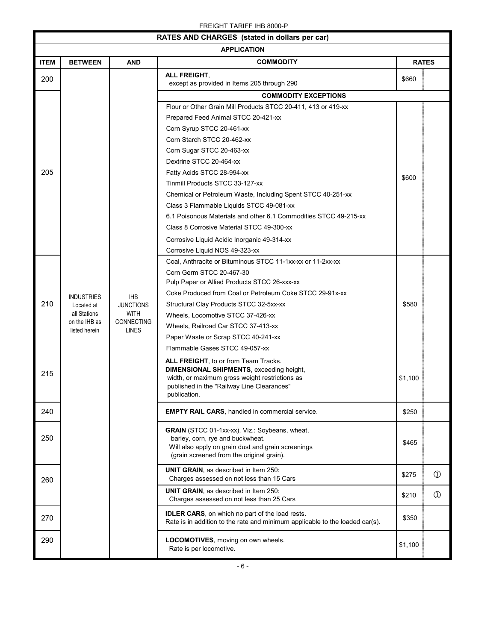| RATES AND CHARGES (stated in dollars per car) |                                 |                                |                                                                                                                                         |         |               |
|-----------------------------------------------|---------------------------------|--------------------------------|-----------------------------------------------------------------------------------------------------------------------------------------|---------|---------------|
|                                               | <b>APPLICATION</b>              |                                |                                                                                                                                         |         |               |
| <b>ITEM</b>                                   | <b>BETWEEN</b>                  | <b>AND</b>                     | <b>COMMODITY</b>                                                                                                                        |         | <b>RATES</b>  |
| 200                                           |                                 |                                | ALL FREIGHT,<br>except as provided in Items 205 through 290                                                                             | \$660   |               |
|                                               |                                 |                                | <b>COMMODITY EXCEPTIONS</b>                                                                                                             |         |               |
|                                               |                                 |                                | Flour or Other Grain Mill Products STCC 20-411, 413 or 419-xx                                                                           |         |               |
|                                               |                                 |                                | Prepared Feed Animal STCC 20-421-xx                                                                                                     |         |               |
|                                               |                                 |                                | Corn Syrup STCC 20-461-xx                                                                                                               |         |               |
|                                               |                                 |                                | Corn Starch STCC 20-462-xx                                                                                                              |         |               |
|                                               |                                 |                                | Corn Sugar STCC 20-463-xx                                                                                                               |         |               |
|                                               |                                 |                                | Dextrine STCC 20-464-xx                                                                                                                 |         |               |
| 205                                           |                                 |                                | Fatty Acids STCC 28-994-xx                                                                                                              | \$600   |               |
|                                               |                                 |                                | Tinmill Products STCC 33-127-xx                                                                                                         |         |               |
|                                               |                                 |                                | Chemical or Petroleum Waste, Including Spent STCC 40-251-xx                                                                             |         |               |
|                                               |                                 |                                | Class 3 Flammable Liquids STCC 49-081-xx                                                                                                |         |               |
|                                               |                                 |                                | 6.1 Poisonous Materials and other 6.1 Commodities STCC 49-215-xx                                                                        |         |               |
|                                               |                                 |                                | Class 8 Corrosive Material STCC 49-300-xx                                                                                               |         |               |
|                                               |                                 |                                | Corrosive Liquid Acidic Inorganic 49-314-xx                                                                                             |         |               |
|                                               |                                 |                                | Corrosive Liquid NOS 49-323-xx                                                                                                          |         |               |
|                                               |                                 |                                | Coal, Anthracite or Bituminous STCC 11-1xx-xx or 11-2xx-xx                                                                              |         |               |
|                                               |                                 |                                | Corn Germ STCC 20-467-30<br>Pulp Paper or Allied Products STCC 26-xxx-xx                                                                |         |               |
|                                               |                                 |                                | Coke Produced from Coal or Petroleum Coke STCC 29-91x-xx                                                                                |         |               |
| 210                                           | <b>INDUSTRIES</b><br>Located at | <b>IHB</b><br><b>JUNCTIONS</b> | Structural Clay Products STCC 32-5xx-xx                                                                                                 | \$580   |               |
|                                               | all Stations                    | <b>WITH</b>                    | Wheels, Locomotive STCC 37-426-xx                                                                                                       |         |               |
|                                               | on the IHB as                   | CONNECTING                     | Wheels, Railroad Car STCC 37-413-xx                                                                                                     |         |               |
|                                               | listed herein                   | LINES                          | Paper Waste or Scrap STCC 40-241-xx                                                                                                     |         |               |
|                                               |                                 |                                | Flammable Gases STCC 49-057-xx                                                                                                          |         |               |
|                                               |                                 |                                | ALL FREIGHT, to or from Team Tracks.                                                                                                    |         |               |
| 215                                           |                                 |                                | <b>DIMENSIONAL SHIPMENTS, exceeding height,</b>                                                                                         |         |               |
|                                               |                                 |                                | width, or maximum gross weight restrictions as                                                                                          | \$1,100 |               |
|                                               |                                 |                                | published in the "Railway Line Clearances"<br>publication.                                                                              |         |               |
|                                               |                                 |                                |                                                                                                                                         |         |               |
| 240                                           |                                 |                                | <b>EMPTY RAIL CARS, handled in commercial service.</b>                                                                                  | \$250   |               |
|                                               |                                 |                                | GRAIN (STCC 01-1xx-xx), Viz.: Soybeans, wheat,                                                                                          |         |               |
| 250                                           |                                 |                                | barley, corn, rye and buckwheat.                                                                                                        | \$465   |               |
|                                               |                                 |                                | Will also apply on grain dust and grain screenings<br>(grain screened from the original grain).                                         |         |               |
|                                               |                                 |                                |                                                                                                                                         |         |               |
|                                               |                                 |                                | UNIT GRAIN, as described in Item 250:                                                                                                   | \$275   | $\circled{1}$ |
| 260                                           |                                 |                                | Charges assessed on not less than 15 Cars                                                                                               |         |               |
|                                               |                                 |                                | <b>UNIT GRAIN, as described in Item 250:</b><br>Charges assessed on not less than 25 Cars                                               | \$210   | $^\circledR$  |
|                                               |                                 |                                |                                                                                                                                         |         |               |
| 270                                           |                                 |                                | <b>IDLER CARS</b> , on which no part of the load rests.<br>Rate is in addition to the rate and minimum applicable to the loaded car(s). | \$350   |               |
|                                               |                                 |                                |                                                                                                                                         |         |               |
| 290                                           |                                 |                                | LOCOMOTIVES, moving on own wheels.                                                                                                      | \$1,100 |               |
|                                               |                                 |                                | Rate is per locomotive.                                                                                                                 |         |               |